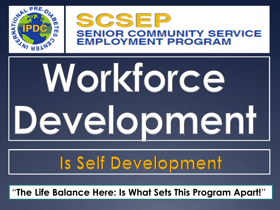

#### **SCSEP SENIOR COMMUNITY SERVICE EMPLOYMENT PROGRAM**

# Workforce Development

#### Is Self Development

*"***The Life Balance Here: Is What Sets This Program Apart!***"*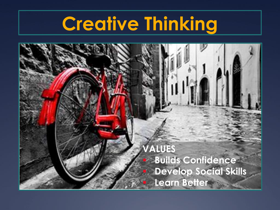#### **Creative Thinking**

**VALUES** ▪ **Builds Confidence Develop Social Skills Learn Better**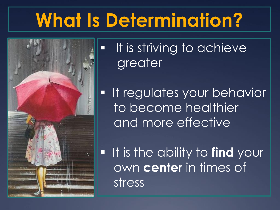## **What Is Determination?**



**·** It is striving to achieve greater

**· It regulates your behavior** to become healthier and more effective

▪ It is the ability to **find** your own **center** in times of stress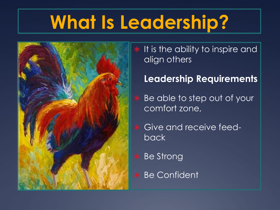## **What Is Leadership?**



 $*$  It is the ability to inspire and align others

#### **Leadership Requirements**

 Be able to step out of your comfort zone,

 Give and receive feedback

\* Be Strong

\* Be Confident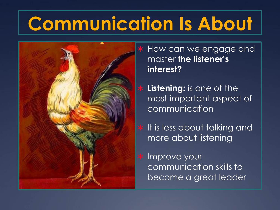# **Communication Is About**



 How can we engage and master **the listener's interest?**

 **Listening:** is one of the most important aspect of communication

 $*$  It is less about talking and more about listening

\* Improve your communication skills to become a great leader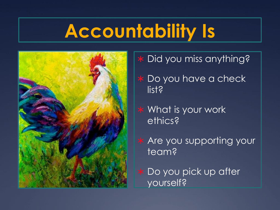## **Accountability Is**



- \* Did you miss anything?
- \* Do you have a check list?
- \* What is your work ethics?
- \* Are you supporting your team?
- \* Do you pick up after yourself?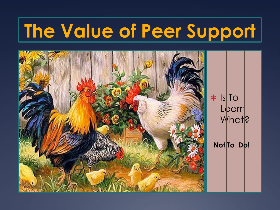# **The Value of Peer Support**

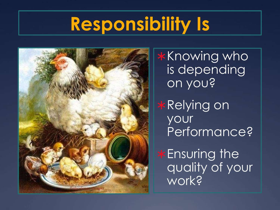#### **Responsibility Is**



\*Knowing who is depending on you?

\*Relying on your Performance?

\*Ensuring the quality of your work?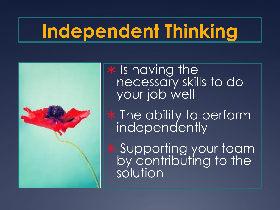# **Independent Thinking**



\* Is having the necessary skills to do your job well

 $*$  The ability to perform independently

 Supporting your team by contributing to the solution